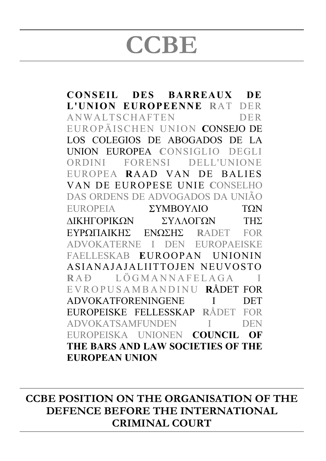## **CCBE**

**CONSEIL DES BARREAUX DE L'UNION EUROPEENNE R**AT DER ANWALTSCHAFTEN DER EUROPÄISCHEN UNION **C**ONSEJO DE LOS COLEGIOS DE ABOGADOS DE LA UNION EUROPEA **C**ONSIGLIO DEGLI ORDINI FORENSI DELL'UNIONE EUROPEA **R**AAD VAN DE BALIES VAN DE EUROPESE UNIE **C**ONSELHO DAS ORDENS DE ADVOGADOS DA UNIÃO **EUROPEIA** ΣΥΜΒΟΥΛΙΟ ΤΩΝ ΔΙΚΗΓΟΡΙΚΩΝ ΣΥΛΛΟΓΩΝ ΤΗΣ **R**ADET FOR ADVOKATERNE I DEN EUROPAEISKE FAELLESKAB **E**UROOPAN UNIONIN ASIANAJAJALIITTOJEN NEUVOSTO RAÐ LÖGMANNAFELAGA EVROPUSAMBANDINU **R**ÅDET FOR ADVOKATFORENINGENE I DET EUROPEISKE FELLESSKAP **R**ÅDET FOR ADVOKATSAMFUNDEN I DEN EUROPEISKA UNIONEN **COUNCIL OF THE BARS AND LAW SOCIETIES OF THE EUROPEAN UNION**

**CCBE POSITION ON THE ORGANISATION OF THE DEFENCE BEFORE THE INTERNATIONAL CRIMINAL COURT**